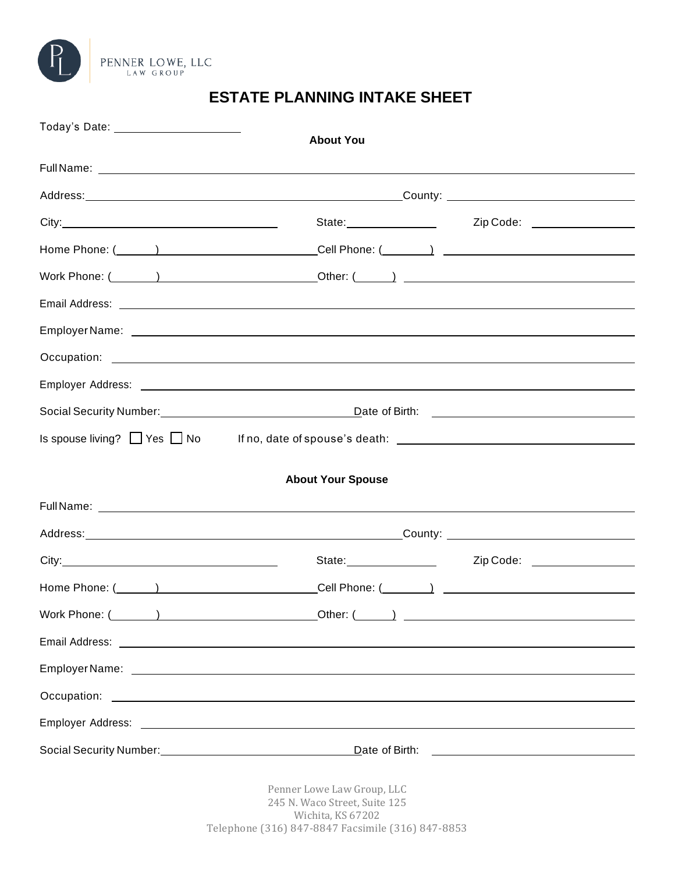

# **ESTATE PLANNING INTAKE SHEET**

| Today's Date: ______________________                                                                                                                                                                                           | <b>About You</b>                                                                                                                                                                                                               |  |
|--------------------------------------------------------------------------------------------------------------------------------------------------------------------------------------------------------------------------------|--------------------------------------------------------------------------------------------------------------------------------------------------------------------------------------------------------------------------------|--|
|                                                                                                                                                                                                                                |                                                                                                                                                                                                                                |  |
|                                                                                                                                                                                                                                |                                                                                                                                                                                                                                |  |
|                                                                                                                                                                                                                                |                                                                                                                                                                                                                                |  |
|                                                                                                                                                                                                                                |                                                                                                                                                                                                                                |  |
|                                                                                                                                                                                                                                |                                                                                                                                                                                                                                |  |
|                                                                                                                                                                                                                                |                                                                                                                                                                                                                                |  |
|                                                                                                                                                                                                                                |                                                                                                                                                                                                                                |  |
|                                                                                                                                                                                                                                |                                                                                                                                                                                                                                |  |
|                                                                                                                                                                                                                                |                                                                                                                                                                                                                                |  |
|                                                                                                                                                                                                                                | Social Security Number: 11.1 Married Contract Contract Date of Birth: 2001 Contract Contract Contract Contract Contract Contract Contract Contract Contract Contract Contract Contract Contract Contract Contract Contract Con |  |
|                                                                                                                                                                                                                                |                                                                                                                                                                                                                                |  |
|                                                                                                                                                                                                                                |                                                                                                                                                                                                                                |  |
|                                                                                                                                                                                                                                | <b>About Your Spouse</b>                                                                                                                                                                                                       |  |
|                                                                                                                                                                                                                                |                                                                                                                                                                                                                                |  |
|                                                                                                                                                                                                                                |                                                                                                                                                                                                                                |  |
|                                                                                                                                                                                                                                |                                                                                                                                                                                                                                |  |
|                                                                                                                                                                                                                                | Home Phone: (Call Phone: (Cell Phone: (Call Phone: (Call Phone: (Call Phone: (Call Phone: (Call Phone: (Call Phone: (Call Phone: (Call Phone: (Call Phone: (Call Phone: (Call Phone: (Call Phone: (Call Phone: (Call Phone: (C |  |
| Work Phone: ( ) and a set of the set of the set of the set of the set of the set of the set of the set of the set of the set of the set of the set of the set of the set of the set of the set of the set of the set of the se |                                                                                                                                                                                                                                |  |
|                                                                                                                                                                                                                                |                                                                                                                                                                                                                                |  |
|                                                                                                                                                                                                                                |                                                                                                                                                                                                                                |  |
|                                                                                                                                                                                                                                |                                                                                                                                                                                                                                |  |
|                                                                                                                                                                                                                                |                                                                                                                                                                                                                                |  |
|                                                                                                                                                                                                                                |                                                                                                                                                                                                                                |  |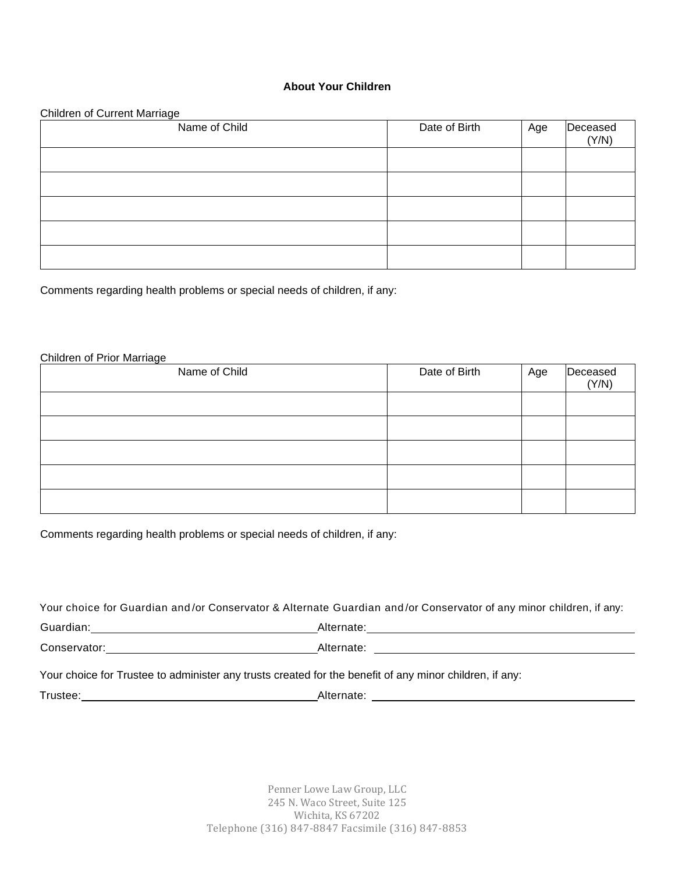## **About Your Children**

#### Children of Current Marriage

| Name of Child | Date of Birth | Age | Deceased<br>(Y/N) |
|---------------|---------------|-----|-------------------|
|               |               |     |                   |
|               |               |     |                   |
|               |               |     |                   |
|               |               |     |                   |
|               |               |     |                   |

Comments regarding health problems or special needs of children, if any:

#### Children of Prior Marriage

| Name of Child | Date of Birth | Age | Deceased<br>(Y/N) |
|---------------|---------------|-----|-------------------|
|               |               |     |                   |
|               |               |     |                   |
|               |               |     |                   |
|               |               |     |                   |
|               |               |     |                   |

Comments regarding health problems or special needs of children, if any:

|                           | Your choice for Guardian and/or Conservator & Alternate Guardian and/or Conservator of any minor children, if any: |  |
|---------------------------|--------------------------------------------------------------------------------------------------------------------|--|
|                           |                                                                                                                    |  |
| Conservator: Conservator: | Alternate: <u>____________________________</u>                                                                     |  |
|                           | Your choice for Trustee to administer any trusts created for the benefit of any minor children, if any:            |  |
| Trustee:                  | Alternate:                                                                                                         |  |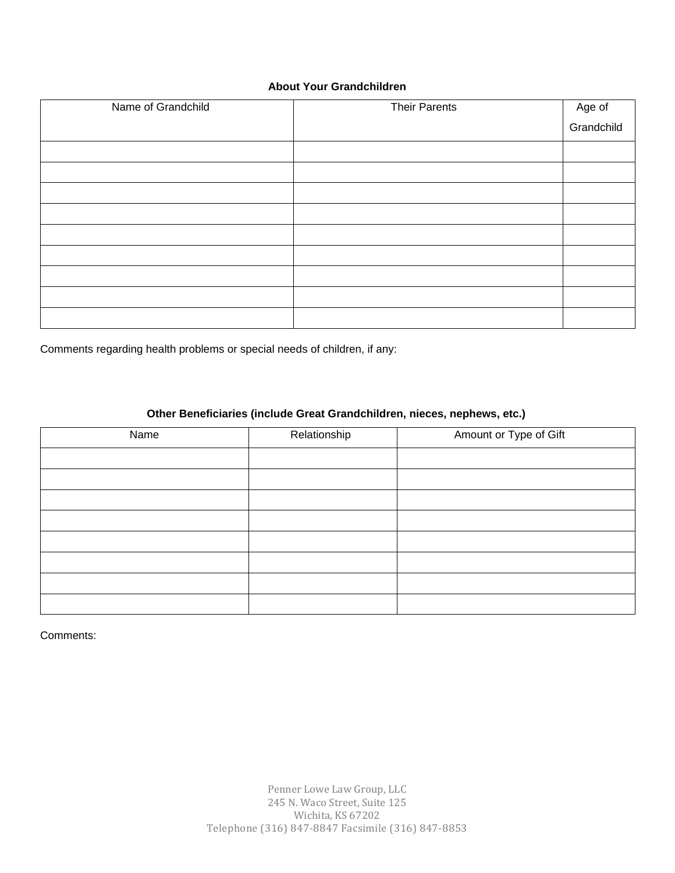## **About Your Grandchildren**

| Name of Grandchild | <b>Their Parents</b> |                      |
|--------------------|----------------------|----------------------|
|                    |                      | Age of<br>Grandchild |
|                    |                      |                      |
|                    |                      |                      |
|                    |                      |                      |
|                    |                      |                      |
|                    |                      |                      |
|                    |                      |                      |
|                    |                      |                      |
|                    |                      |                      |
|                    |                      |                      |

Comments regarding health problems or special needs of children, if any:

# **Other Beneficiaries (include Great Grandchildren, nieces, nephews, etc.)**

| Name | Relationship | Amount or Type of Gift |
|------|--------------|------------------------|
|      |              |                        |
|      |              |                        |
|      |              |                        |
|      |              |                        |
|      |              |                        |
|      |              |                        |
|      |              |                        |
|      |              |                        |

Comments: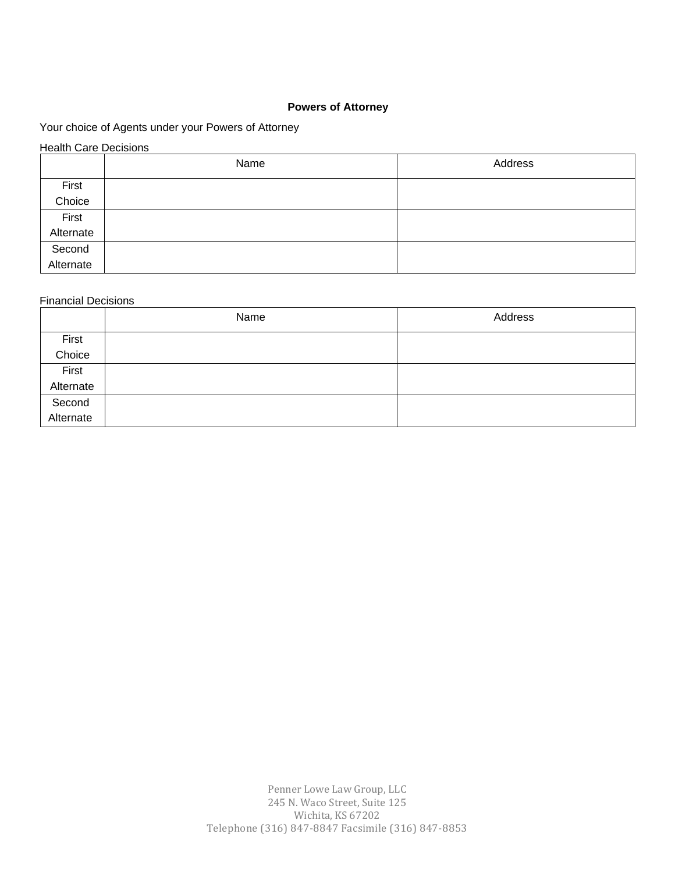## **Powers of Attorney**

Your choice of Agents under your Powers of Attorney

| <b>Health Care Decisions</b> |      |         |  |
|------------------------------|------|---------|--|
|                              | Name | Address |  |
| First                        |      |         |  |
| Choice                       |      |         |  |
| First                        |      |         |  |
| Alternate                    |      |         |  |
| Second                       |      |         |  |
| Alternate                    |      |         |  |

#### Financial Decisions

|           | Name | Address |
|-----------|------|---------|
| First     |      |         |
| Choice    |      |         |
| First     |      |         |
| Alternate |      |         |
| Second    |      |         |
| Alternate |      |         |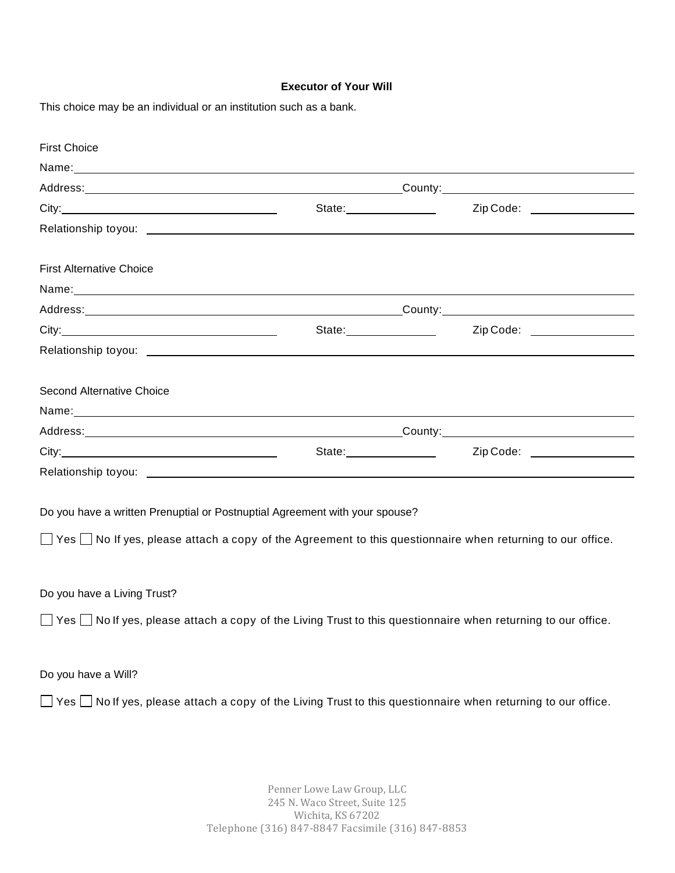#### **Executor of Your Will**

This choice may be an individual or an institution such as a bank.

| <b>First Choice</b>                                                                                                                                                                                                           |                                      |                                                                                                                           |  |
|-------------------------------------------------------------------------------------------------------------------------------------------------------------------------------------------------------------------------------|--------------------------------------|---------------------------------------------------------------------------------------------------------------------------|--|
|                                                                                                                                                                                                                               |                                      |                                                                                                                           |  |
|                                                                                                                                                                                                                               |                                      |                                                                                                                           |  |
|                                                                                                                                                                                                                               |                                      | Zip Code: __________________                                                                                              |  |
|                                                                                                                                                                                                                               |                                      |                                                                                                                           |  |
| <b>First Alternative Choice</b>                                                                                                                                                                                               |                                      |                                                                                                                           |  |
| Name: Name: Name: Name: Name: Name: Name: Name: Name: Name: Name: Name: Name: Name: Name: Name: Name: Name: Name: Name: Name: Name: Name: Name: Name: Name: Name: Name: Name: Name: Name: Name: Name: Name: Name: Name: Name: |                                      |                                                                                                                           |  |
|                                                                                                                                                                                                                               |                                      |                                                                                                                           |  |
|                                                                                                                                                                                                                               | State: <u>contract and the state</u> | Zip Code: __________________                                                                                              |  |
|                                                                                                                                                                                                                               |                                      |                                                                                                                           |  |
| <b>Second Alternative Choice</b>                                                                                                                                                                                              |                                      |                                                                                                                           |  |
|                                                                                                                                                                                                                               |                                      |                                                                                                                           |  |
|                                                                                                                                                                                                                               |                                      |                                                                                                                           |  |
|                                                                                                                                                                                                                               |                                      |                                                                                                                           |  |
|                                                                                                                                                                                                                               |                                      |                                                                                                                           |  |
| Do you have a written Prenuptial or Postnuptial Agreement with your spouse?                                                                                                                                                   |                                      |                                                                                                                           |  |
| $\Box$ Yes $\Box$ No If yes, please attach a copy of the Agreement to this questionnaire when returning to our office.                                                                                                        |                                      |                                                                                                                           |  |
|                                                                                                                                                                                                                               |                                      |                                                                                                                           |  |
| Do you have a Living Trust?                                                                                                                                                                                                   |                                      |                                                                                                                           |  |
| $\Box$ Yes $\Box$ No If yes, please attach a copy of the Living Trust to this questionnaire when returning to our office.                                                                                                     |                                      |                                                                                                                           |  |
| Do you have a Will?                                                                                                                                                                                                           |                                      |                                                                                                                           |  |
|                                                                                                                                                                                                                               |                                      | $\Box$ Yes $\Box$ No If yes, please attach a copy of the Living Trust to this questionnaire when returning to our office. |  |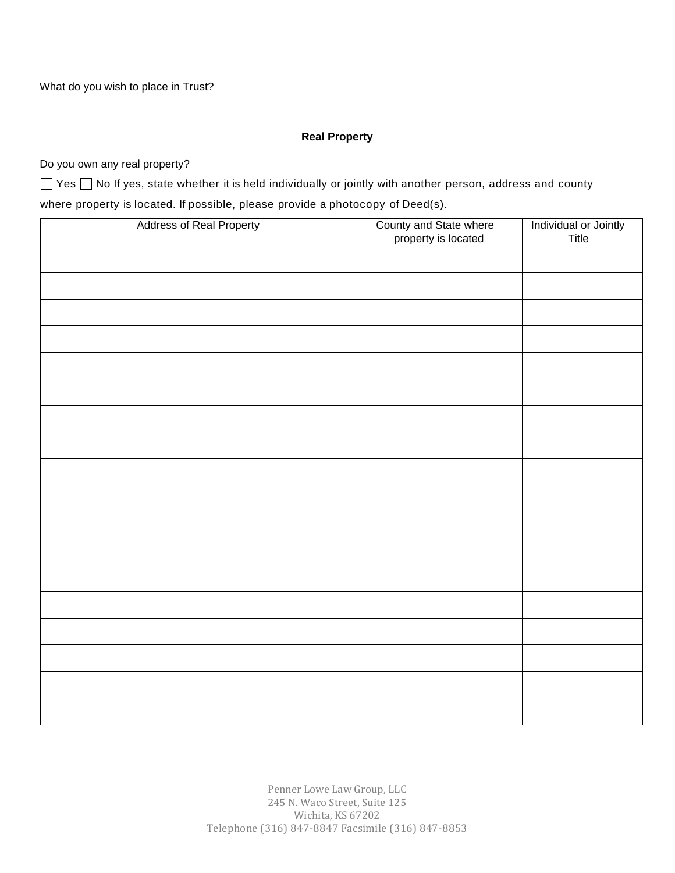What do you wish to place in Trust?

## **Real Property**

Do you own any real property?

 $\Box$  Yes  $\Box$  No If yes, state whether it is held individually or jointly with another person, address and county where property is located. If possible, please provide a photocopy of Deed(s).

| <b>Address of Real Property</b> | County and State where<br>property is located | Individual or Jointly |
|---------------------------------|-----------------------------------------------|-----------------------|
|                                 |                                               | Title                 |
|                                 |                                               |                       |
|                                 |                                               |                       |
|                                 |                                               |                       |
|                                 |                                               |                       |
|                                 |                                               |                       |
|                                 |                                               |                       |
|                                 |                                               |                       |
|                                 |                                               |                       |
|                                 |                                               |                       |
|                                 |                                               |                       |
|                                 |                                               |                       |
|                                 |                                               |                       |
|                                 |                                               |                       |
|                                 |                                               |                       |
|                                 |                                               |                       |
|                                 |                                               |                       |
|                                 |                                               |                       |
|                                 |                                               |                       |
|                                 |                                               |                       |
|                                 |                                               |                       |
|                                 |                                               |                       |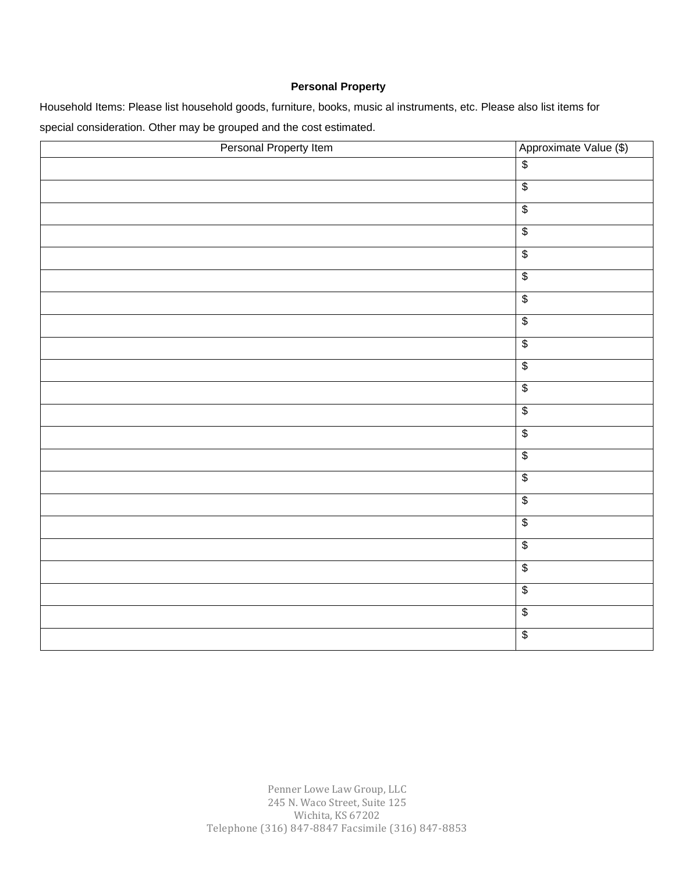## **Personal Property**

Household Items: Please list household goods, furniture, books, music al instruments, etc. Please also list items for special consideration. Other may be grouped and the cost estimated.

| Personal Property Item | Approximate Value (\$)   |
|------------------------|--------------------------|
|                        | $\sqrt[6]{\frac{1}{2}}$  |
|                        | $\sqrt[6]{\frac{1}{2}}$  |
|                        | $\sqrt[6]{\frac{1}{2}}$  |
|                        | $\sqrt{2}$               |
|                        | $\sqrt[6]{\frac{1}{2}}$  |
|                        | $\sqrt[6]{\frac{1}{2}}$  |
|                        | $\overline{\mathcal{L}}$ |
|                        | $\sqrt[6]{\frac{1}{2}}$  |
|                        | $\sqrt[6]{\frac{1}{2}}$  |
|                        | $\sqrt[6]{\frac{1}{2}}$  |
|                        | $\sqrt[6]{\frac{1}{2}}$  |
|                        | $\sqrt{2}$               |
|                        | $\sqrt[6]{\frac{1}{2}}$  |
|                        | $\sqrt[6]{\frac{1}{2}}$  |
|                        | $\sqrt[6]{\frac{1}{2}}$  |
|                        | $\sqrt[6]{\frac{1}{2}}$  |
|                        | $\sqrt[6]{\frac{1}{2}}$  |
|                        | $\sqrt[6]{\frac{1}{2}}$  |
|                        | $\sqrt[6]{\frac{1}{2}}$  |
|                        | $\sqrt[6]{\frac{1}{2}}$  |
|                        | $\overline{\$}$          |
|                        | $\overline{\$}$          |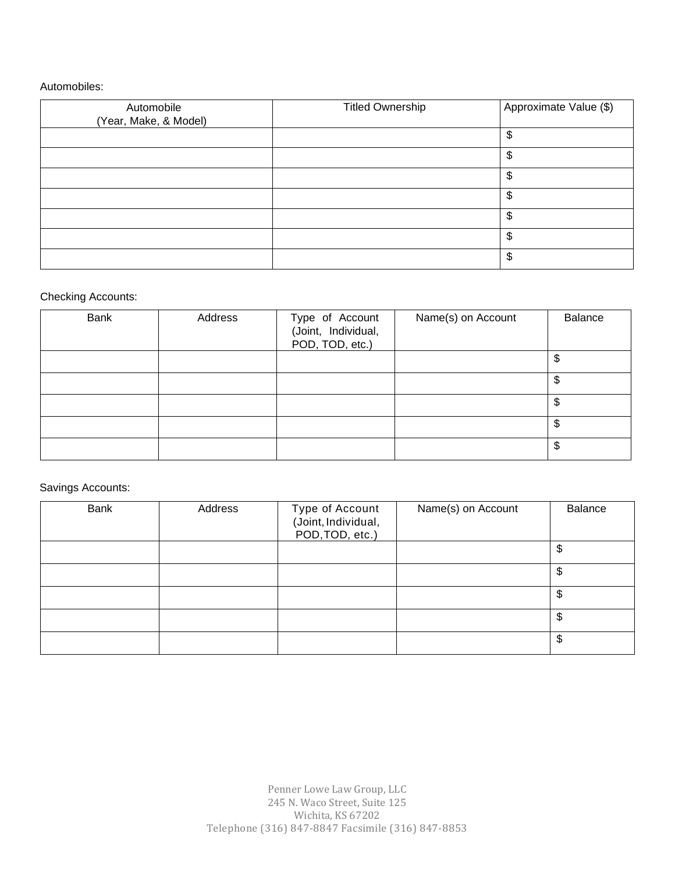## Automobiles:

| Automobile<br>(Year, Make, & Model) | <b>Titled Ownership</b> | Approximate Value (\$) |
|-------------------------------------|-------------------------|------------------------|
|                                     |                         | c<br>ъ.                |
|                                     |                         | œ                      |
|                                     |                         | S.                     |
|                                     |                         | \$                     |
|                                     |                         | \$                     |
|                                     |                         | S.                     |
|                                     |                         | \$                     |

## Checking Accounts:

| <b>Bank</b> | Address | Type of Account<br>(Joint, Individual,<br>POD, TOD, etc.) | Name(s) on Account | Balance |
|-------------|---------|-----------------------------------------------------------|--------------------|---------|
|             |         |                                                           |                    | Φ       |
|             |         |                                                           |                    | \$      |
|             |         |                                                           |                    | \$      |
|             |         |                                                           |                    | \$      |
|             |         |                                                           |                    | \$      |

#### Savings Accounts:

| <b>Bank</b> | Address | Type of Account<br>(Joint, Individual,<br>POD, TOD, etc.) | Name(s) on Account | Balance |
|-------------|---------|-----------------------------------------------------------|--------------------|---------|
|             |         |                                                           |                    | ۰D      |
|             |         |                                                           |                    | \$      |
|             |         |                                                           |                    | Œ       |
|             |         |                                                           |                    | \$      |
|             |         |                                                           |                    | \$      |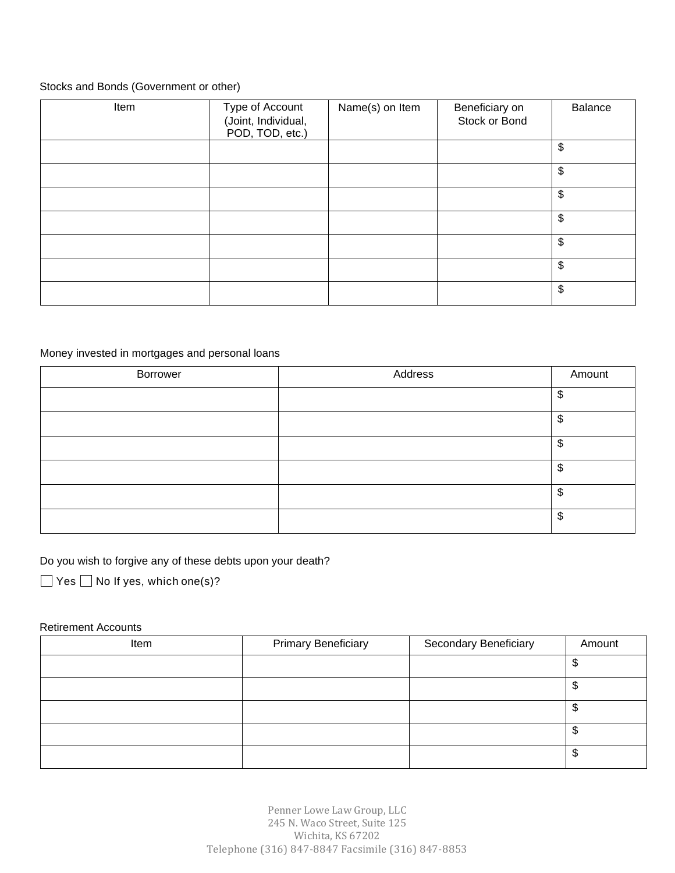# Stocks and Bonds (Government or other)

| Item | Type of Account<br>(Joint, Individual,<br>POD, TOD, etc.) | Name(s) on Item | Beneficiary on<br>Stock or Bond | <b>Balance</b> |
|------|-----------------------------------------------------------|-----------------|---------------------------------|----------------|
|      |                                                           |                 |                                 | \$             |
|      |                                                           |                 |                                 | \$             |
|      |                                                           |                 |                                 | \$             |
|      |                                                           |                 |                                 | \$             |
|      |                                                           |                 |                                 | \$             |
|      |                                                           |                 |                                 | \$             |
|      |                                                           |                 |                                 | \$             |

# Money invested in mortgages and personal loans

| Borrower | Address | Amount  |
|----------|---------|---------|
|          |         | \$      |
|          |         | \$      |
|          |         | \$      |
|          |         | ጥ<br>ъĐ |
|          |         | S       |
|          |         | \$      |

Do you wish to forgive any of these debts upon your death?

 $\Box$  Yes  $\Box$  No If yes, which one(s)?

#### Retirement Accounts

| Item | <b>Primary Beneficiary</b> | <b>Secondary Beneficiary</b> | Amount |
|------|----------------------------|------------------------------|--------|
|      |                            |                              |        |
|      |                            |                              | Ψ      |
|      |                            |                              | ◡      |
|      |                            |                              | ₩      |
|      |                            |                              | Ψ      |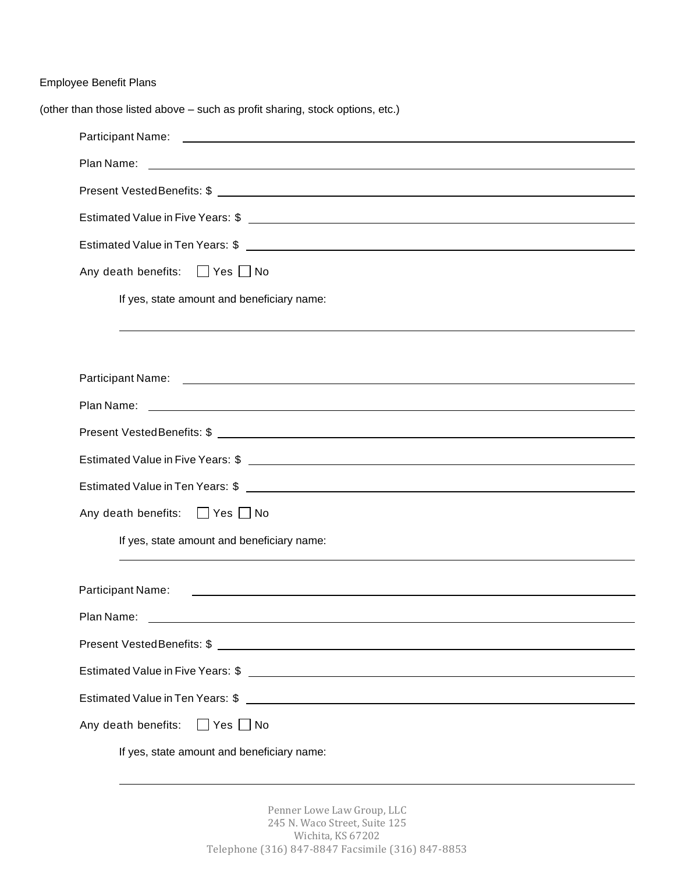Employee Benefit Plans

| (other than those listed above – such as profit sharing, stock options, etc.) |
|-------------------------------------------------------------------------------|
|                                                                               |
|                                                                               |
|                                                                               |
|                                                                               |
|                                                                               |
| Any death benefits: $\Box$ Yes $\Box$ No                                      |
| If yes, state amount and beneficiary name:                                    |
|                                                                               |
|                                                                               |
|                                                                               |
|                                                                               |
|                                                                               |
|                                                                               |
|                                                                               |
| Any death benefits: □ Yes □ No                                                |
| If yes, state amount and beneficiary name:                                    |
|                                                                               |
| <b>Participant Name:</b>                                                      |
| Plan Name:<br><u> 1980 - John Barnett, fransk politiker (d. 1980)</u>         |
|                                                                               |
| Estimated Value in Five Years: \$                                             |
|                                                                               |
| Any death benefits: $\Box$ Yes $\Box$ No                                      |
| If yes, state amount and beneficiary name:                                    |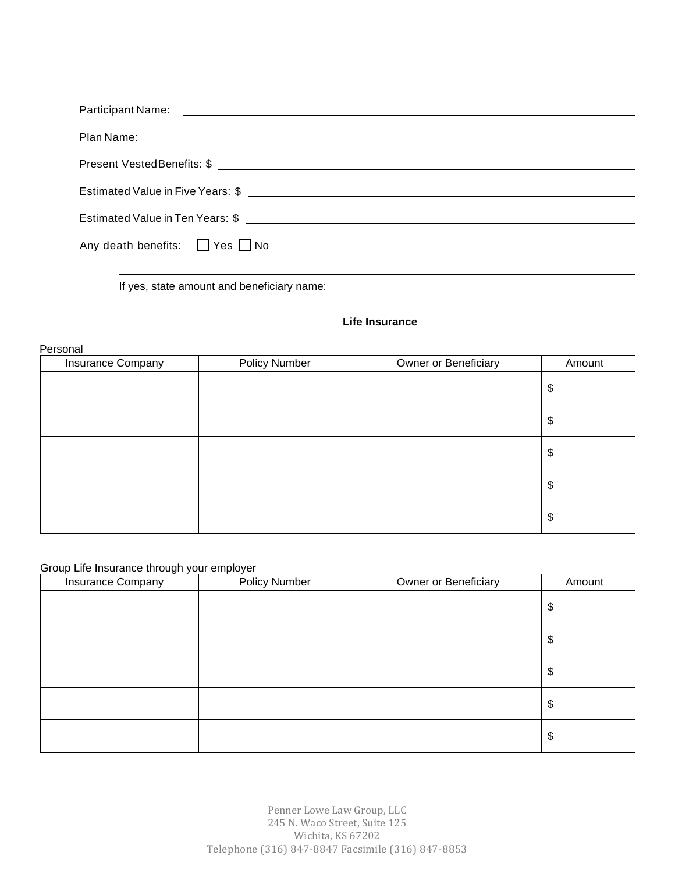| Estimated Value in Five Years: \$        |  |  |  |
|------------------------------------------|--|--|--|
| Estimated Value in Ten Years: \$         |  |  |  |
| Any death benefits: $\Box$ Yes $\Box$ No |  |  |  |
|                                          |  |  |  |

If yes, state amount and beneficiary name:

## **Life Insurance**

| Personal          |                      |                      |        |
|-------------------|----------------------|----------------------|--------|
| Insurance Company | <b>Policy Number</b> | Owner or Beneficiary | Amount |
|                   |                      |                      | \$     |
|                   |                      |                      | \$     |
|                   |                      |                      | \$     |
|                   |                      |                      | \$     |
|                   |                      |                      | \$     |

# Group Life Insurance through your employer

| Insurance Company | <b>Policy Number</b> | Owner or Beneficiary | Amount |
|-------------------|----------------------|----------------------|--------|
|                   |                      |                      | \$     |
|                   |                      |                      | \$     |
|                   |                      |                      | \$     |
|                   |                      |                      | \$     |
|                   |                      |                      | \$     |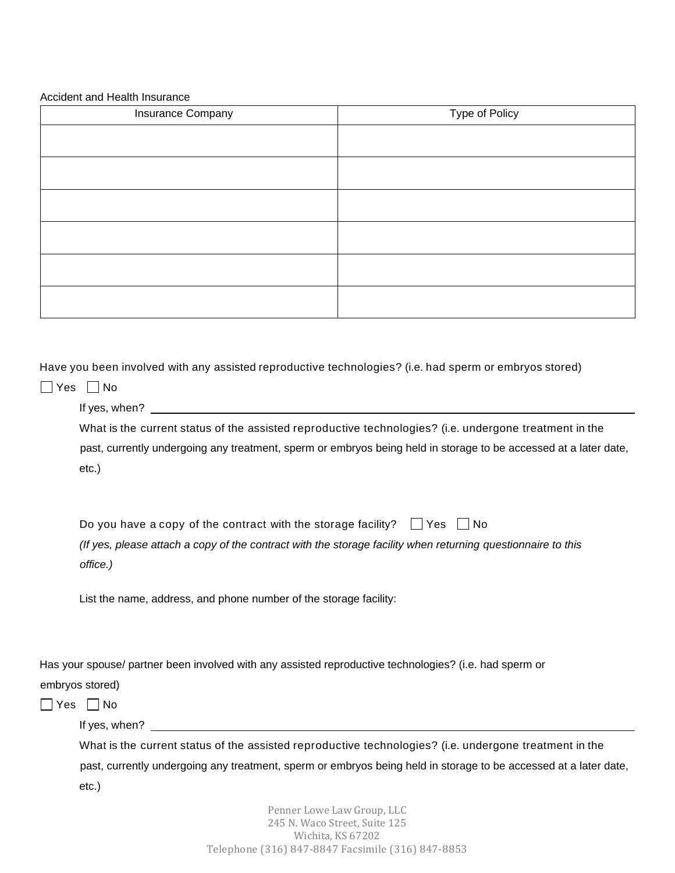#### Accident and Health Insurance

| Insurance Company | Type of Policy |
|-------------------|----------------|
|                   |                |
|                   |                |
|                   |                |
|                   |                |
|                   |                |
|                   |                |

Have you been involved with any assisted reproductive technologies? (i.e. had sperm or embryos stored)

| $\Box$ Yes      | No                                                                                                               |
|-----------------|------------------------------------------------------------------------------------------------------------------|
|                 | If yes, when?                                                                                                    |
|                 | What is the current status of the assisted reproductive technologies? (i.e. undergone treatment in the           |
|                 | past, currently undergoing any treatment, sperm or embryos being held in storage to be accessed at a later date, |
|                 | $etc.$ )                                                                                                         |
|                 |                                                                                                                  |
|                 | Do you have a copy of the contract with the storage facility? $\Box$ Yes $\Box$ No                               |
|                 | (If yes, please attach a copy of the contract with the storage facility when returning questionnaire to this     |
|                 | office.)                                                                                                         |
|                 | List the name, address, and phone number of the storage facility:                                                |
|                 | Has your spouse/ partner been involved with any assisted reproductive technologies? (i.e. had sperm or           |
| embryos stored) |                                                                                                                  |
| ∐ Yes ∐ No      |                                                                                                                  |
|                 |                                                                                                                  |
|                 | What is the current status of the assisted reproductive technologies? (i.e. undergone treatment in the           |
|                 | past, currently undergoing any treatment, sperm or embryos being held in storage to be accessed at a later date, |
|                 | $etc.$ )                                                                                                         |
|                 |                                                                                                                  |
|                 | Penner Lowe Law Group, LLC<br>245 N. Waco Street, Suite 125<br>$M!$ ; abits $M!$ (7000                           |

Wichita, KS 67202 Telephone (316) 847-8847 Facsimile (316) 847-8853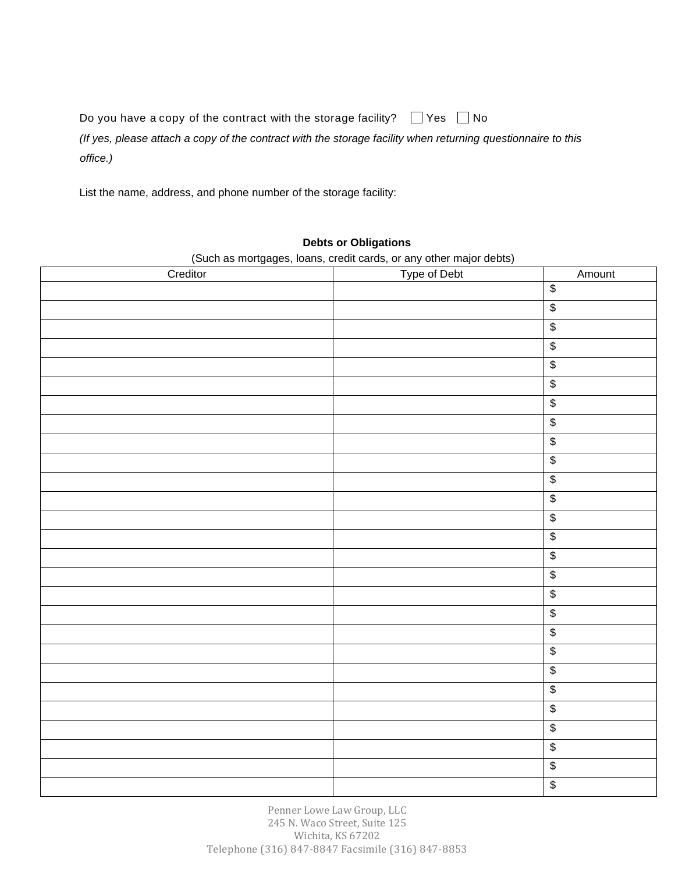Do you have a copy of the contract with the storage facility?  $\Box$  Yes  $\Box$  No

*(If yes, please attach a copy of the contract with the storage facility when returning questionnaire to this office.)*

List the name, address, and phone number of the storage facility:

## **Debts or Obligations**

# (Such as mortgages, loans, credit cards, or any other major debts)

| Creditor Type of Debt | Amount                     |
|-----------------------|----------------------------|
|                       | $\sqrt[6]{\frac{1}{2}}$    |
|                       | $\boldsymbol{\$}$          |
|                       | $\boldsymbol{\$}$          |
|                       | $\boldsymbol{\mathsf{\$}}$ |
|                       | $\sqrt[6]{\frac{1}{2}}$    |
|                       | $\sqrt[6]{\frac{1}{2}}$    |
|                       | $\sqrt[6]{\frac{1}{2}}$    |
|                       | $\sqrt[6]{\frac{1}{2}}$    |
|                       | $\boldsymbol{\$}$          |
|                       | $\sqrt[6]{\frac{1}{2}}$    |
|                       | $\boldsymbol{\$}$          |
|                       | $\boldsymbol{\$}$          |
|                       | $\blacklozenge$            |
|                       | $\boldsymbol{\$}$          |
|                       | $\boldsymbol{\$}$          |
|                       | $\blacklozenge$            |
|                       | $\boldsymbol{\$}$          |
|                       | $\boldsymbol{\$}$          |
|                       | $\bigoplus$                |
|                       | $\boldsymbol{\mathsf{\$}}$ |
|                       | $\sqrt[6]{\frac{1}{2}}$    |
|                       | $\sqrt[6]{\frac{1}{2}}$    |
|                       | $\boldsymbol{\$}$          |
|                       | $\sqrt[6]{\frac{1}{2}}$    |
|                       | $\boldsymbol{\$}$          |
|                       | $\boldsymbol{\$}$          |
|                       | $\sqrt[6]{\frac{1}{2}}$    |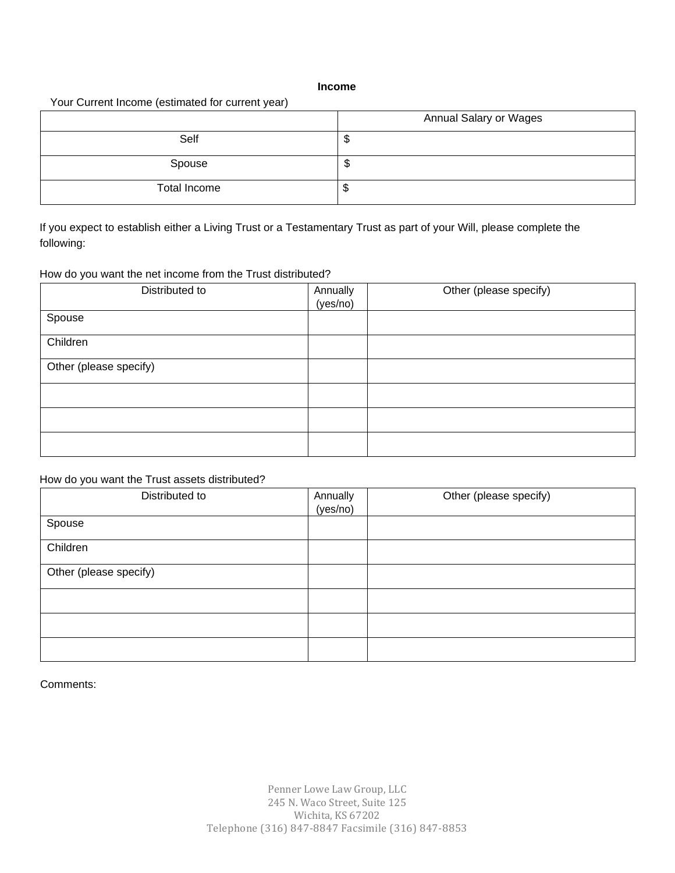#### **Income**

#### Your Current Income (estimated for current year)

|              | Annual Salary or Wages |
|--------------|------------------------|
| Self         | Ψ                      |
| Spouse       | Ψ                      |
| Total Income | Ψ                      |

If you expect to establish either a Living Trust or a Testamentary Trust as part of your Will, please complete the following:

## How do you want the net income from the Trust distributed?

| Distributed to         | Annually<br>(yes/no) | Other (please specify) |
|------------------------|----------------------|------------------------|
| Spouse                 |                      |                        |
| Children               |                      |                        |
| Other (please specify) |                      |                        |
|                        |                      |                        |
|                        |                      |                        |
|                        |                      |                        |

How do you want the Trust assets distributed?

| Distributed to         | Annually<br>(yes/no) | Other (please specify) |
|------------------------|----------------------|------------------------|
| Spouse                 |                      |                        |
| Children               |                      |                        |
| Other (please specify) |                      |                        |
|                        |                      |                        |
|                        |                      |                        |
|                        |                      |                        |

Comments: